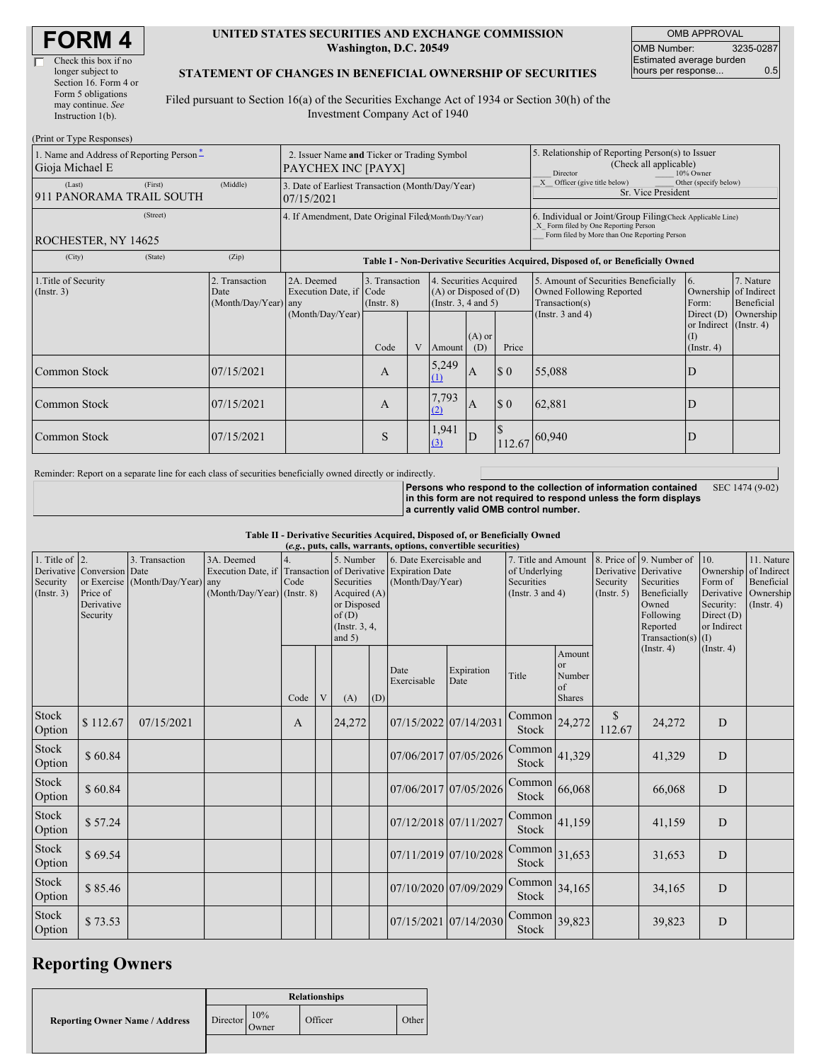| <b>FORM4</b> |
|--------------|
|--------------|

| Check this box if no  |
|-----------------------|
| longer subject to     |
| Section 16. Form 4 or |
| Form 5 obligations    |
| may continue. See     |
| Instruction 1(b).     |
|                       |

 $(D_{\text{wint on}} T_{\text{true}})$ 

#### **UNITED STATES SECURITIES AND EXCHANGE COMMISSION Washington, D.C. 20549**

OMB APPROVAL OMB Number: 3235-0287 Estimated average burden hours per response... 0.5

### **STATEMENT OF CHANGES IN BENEFICIAL OWNERSHIP OF SECURITIES**

Filed pursuant to Section 16(a) of the Securities Exchange Act of 1934 or Section 30(h) of the Investment Company Act of 1940

| 1. Name and Address of Reporting Person-<br>Gioja Michael E | $\pm 1$ iiii ultii ype inespulises j<br>2. Issuer Name and Ticker or Trading Symbol<br>PAYCHEX INC [PAYX] |                                                                                  |                                           |   |                                                                                                                        |              |             | 5. Relationship of Reporting Person(s) to Issuer<br>(Check all applicable)<br>10% Owner<br>Director                                                |                                                                                                         |                                      |  |
|-------------------------------------------------------------|-----------------------------------------------------------------------------------------------------------|----------------------------------------------------------------------------------|-------------------------------------------|---|------------------------------------------------------------------------------------------------------------------------|--------------|-------------|----------------------------------------------------------------------------------------------------------------------------------------------------|---------------------------------------------------------------------------------------------------------|--------------------------------------|--|
| (Last)<br>(First)<br>911 PANORAMA TRAIL SOUTH               | (Middle)                                                                                                  | 3. Date of Earliest Transaction (Month/Day/Year)<br>07/15/2021                   |                                           |   |                                                                                                                        |              |             | X Officer (give title below)<br>Other (specify below)<br>Sr. Vice President                                                                        |                                                                                                         |                                      |  |
| (Street)<br>ROCHESTER, NY 14625                             |                                                                                                           | 4. If Amendment, Date Original Filed(Month/Day/Year)                             |                                           |   |                                                                                                                        |              |             | 6. Individual or Joint/Group Filing(Check Applicable Line)<br>X Form filed by One Reporting Person<br>Form filed by More than One Reporting Person |                                                                                                         |                                      |  |
| (City)<br>(State)                                           | (Zip)                                                                                                     | Table I - Non-Derivative Securities Acquired, Disposed of, or Beneficially Owned |                                           |   |                                                                                                                        |              |             |                                                                                                                                                    |                                                                                                         |                                      |  |
| 1. Title of Security<br>(Instr. 3)                          | 2. Transaction<br>Date<br>(Month/Day/Year) any                                                            | 2A. Deemed<br>Execution Date, if Code<br>(Month/Day/Year)                        | 3. Transaction<br>$($ Instr. $8)$<br>Code | V | 4. Securities Acquired<br>$(A)$ or Disposed of $(D)$<br>(Instr. $3, 4$ and $5$ )<br>$(A)$ or<br>Price<br>(D)<br>Amount |              |             | 5. Amount of Securities Beneficially<br><b>Owned Following Reported</b><br>Transaction(s)<br>(Instr. $3$ and $4$ )                                 | 6.<br>Ownership of Indirect<br>Form:<br>Direct $(D)$<br>or Indirect (Instr. 4)<br>$($ I)<br>(Insert. 4) | 7. Nature<br>Beneficial<br>Ownership |  |
| <b>Common Stock</b>                                         | 07/15/2021                                                                                                |                                                                                  | A                                         |   | 5,249<br>(1)                                                                                                           | $\mathbf{A}$ | $\Omega$    | 55,088                                                                                                                                             | D                                                                                                       |                                      |  |
| 07/15/2021<br><b>Common Stock</b>                           |                                                                                                           |                                                                                  | A                                         |   | 7,793<br>(2)                                                                                                           | A            | $\Omega$    | 62,881                                                                                                                                             | D                                                                                                       |                                      |  |
| 07/15/2021<br><b>Common Stock</b>                           |                                                                                                           |                                                                                  | S                                         |   | 1,941<br>(3)                                                                                                           | D            | S<br>112.67 | 60,940                                                                                                                                             | D                                                                                                       |                                      |  |

Reminder: Report on a separate line for each class of securities beneficially owned directly or indirectly.

**Persons who respond to the collection of information contained in this form are not required to respond unless the form displays a currently valid OMB control number.** SEC 1474 (9-02)

**Table II - Derivative Securities Acquired, Disposed of, or Beneficially Owned**

| (e.g., puts, calls, warrants, options, convertible securities) |                                                                  |                                                    |                                                                 |      |   |                                                               |                                                                                                                           |                       |                                                                             |                        |                                                          |                                                                                                                  |                                                                          |                                                                               |  |
|----------------------------------------------------------------|------------------------------------------------------------------|----------------------------------------------------|-----------------------------------------------------------------|------|---|---------------------------------------------------------------|---------------------------------------------------------------------------------------------------------------------------|-----------------------|-----------------------------------------------------------------------------|------------------------|----------------------------------------------------------|------------------------------------------------------------------------------------------------------------------|--------------------------------------------------------------------------|-------------------------------------------------------------------------------|--|
| 1. Title of $\vert$ 2.<br>Security<br>(Insert. 3)              | Derivative Conversion Date<br>Price of<br>Derivative<br>Security | 3. Transaction<br>or Exercise (Month/Day/Year) any | 3A. Deemed<br>Execution Date, if<br>(Month/Day/Year) (Instr. 8) | Code |   | 5. Number<br>Securities<br>of(D)<br>(Instr. 3, 4,<br>and $5)$ | 6. Date Exercisable and<br>Transaction of Derivative Expiration Date<br>(Month/Day/Year)<br>Acquired $(A)$<br>or Disposed |                       | 7. Title and Amount<br>of Underlying<br>Securities<br>(Instr. $3$ and $4$ ) |                        | Derivative Derivative<br>Security<br>(Insert. 5)         | 8. Price of 9. Number of<br>Securities<br>Beneficially<br>Owned<br>Following<br>Reported<br>Transaction(s) $(I)$ | 10.<br>Form of<br>Derivative<br>Security:<br>Direct $(D)$<br>or Indirect | 11. Nature<br>Ownership of Indirect<br>Beneficial<br>Ownership<br>(Insert. 4) |  |
|                                                                |                                                                  |                                                    |                                                                 | Code | V | (A)                                                           | (D)                                                                                                                       | Date<br>Exercisable   | Expiration<br>Date                                                          | Title                  | Amount<br><sub>or</sub><br>Number<br>of<br><b>Shares</b> |                                                                                                                  | $($ Instr. 4 $)$                                                         | (Insert. 4)                                                                   |  |
| Stock<br>Option                                                | \$112.67                                                         | 07/15/2021                                         |                                                                 | A    |   | 24,272                                                        |                                                                                                                           | 07/15/2022 07/14/2031 |                                                                             | Common<br>Stock        | 24,272                                                   | <sup>\$</sup><br>112.67                                                                                          | 24,272                                                                   | D                                                                             |  |
| Stock<br>Option                                                | \$60.84                                                          |                                                    |                                                                 |      |   |                                                               |                                                                                                                           | 07/06/2017 07/05/2026 |                                                                             | Common<br><b>Stock</b> | 41,329                                                   |                                                                                                                  | 41,329                                                                   | D                                                                             |  |
| Stock<br>Option                                                | \$60.84                                                          |                                                    |                                                                 |      |   |                                                               |                                                                                                                           | 07/06/2017 07/05/2026 |                                                                             | Common<br>Stock        | 66,068                                                   |                                                                                                                  | 66,068                                                                   | D                                                                             |  |
| Stock<br>Option                                                | \$57.24                                                          |                                                    |                                                                 |      |   |                                                               |                                                                                                                           | 07/12/2018 07/11/2027 |                                                                             | Common<br>Stock        | 41,159                                                   |                                                                                                                  | 41,159                                                                   | D                                                                             |  |
| Stock<br>Option                                                | \$69.54                                                          |                                                    |                                                                 |      |   |                                                               |                                                                                                                           | 07/11/2019 07/10/2028 |                                                                             | Common<br>Stock        | 31,653                                                   |                                                                                                                  | 31,653                                                                   | D                                                                             |  |
| Stock<br>Option                                                | \$85.46                                                          |                                                    |                                                                 |      |   |                                                               |                                                                                                                           | 07/10/2020 07/09/2029 |                                                                             | Common<br><b>Stock</b> | 34,165                                                   |                                                                                                                  | 34,165                                                                   | D                                                                             |  |
| Stock<br>Option                                                | \$73.53                                                          |                                                    |                                                                 |      |   |                                                               |                                                                                                                           | 07/15/2021 07/14/2030 |                                                                             | Common<br>Stock        | 39,823                                                   |                                                                                                                  | 39,823                                                                   | D                                                                             |  |

# **Reporting Owners**

|                                       | <b>Relationships</b> |              |         |       |  |  |  |
|---------------------------------------|----------------------|--------------|---------|-------|--|--|--|
| <b>Reporting Owner Name / Address</b> | Director             | 10%<br>Owner | Officer | Other |  |  |  |